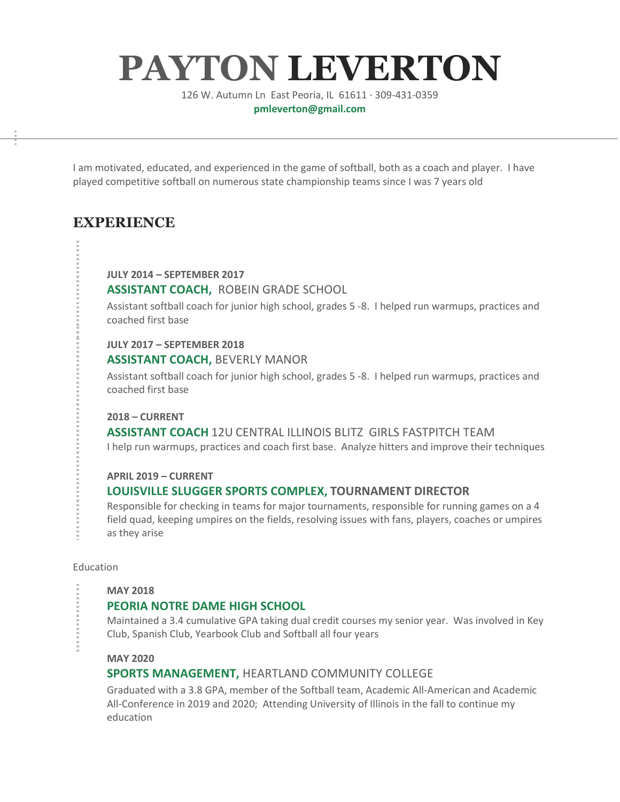# **PAYTON LEVERTON**

126 W. Autumn Ln East Peoria, IL 61611 · 309-431-0359 **pmleverton@gmail.com**

I am motivated, educated, and experienced in the game of softball, both as a coach and player. I have played competitive softball on numerous state championship teams since I was 7 years old

# **EXPERIENCE**

#### **JULY 2014 – SEPTEMBER 2017**

## **ASSISTANT COACH,** ROBEIN GRADE SCHOOL

Assistant softball coach for junior high school, grades 5 -8. I helped run warmups, practices and coached first base

#### **JULY 2017 – SEPTEMBER 2018**

## **ASSISTANT COACH,** BEVERLY MANOR

Assistant softball coach for junior high school, grades 5 -8. I helped run warmups, practices and coached first base

#### **2018 – CURRENT**

**ASSISTANT COACH** 12U CENTRAL ILLINOIS BLITZ GIRLS FASTPITCH TEAM I help run warmups, practices and coach first base. Analyze hitters and improve their techniques

## **APRIL 2019 – CURRENT**

## **LOUISVILLE SLUGGER SPORTS COMPLEX, TOURNAMENT DIRECTOR**

Responsible for checking in teams for major tournaments, responsible for running games on a 4 field quad, keeping umpires on the fields, resolving issues with fans, players, coaches or umpires as they arise

#### Education

#### **MAY 2018**

## **PEORIA NOTRE DAME HIGH SCHOOL**

Maintained a 3.4 cumulative GPA taking dual credit courses my senior year. Was involved in Key Club, Spanish Club, Yearbook Club and Softball all four years

#### **MAY 2020**

## **SPORTS MANAGEMENT,** HEARTLAND COMMUNITY COLLEGE

Graduated with a 3.8 GPA, member of the Softball team, Academic All-American and Academic All-Conference in 2019 and 2020; Attending University of Illinois in the fall to continue my education